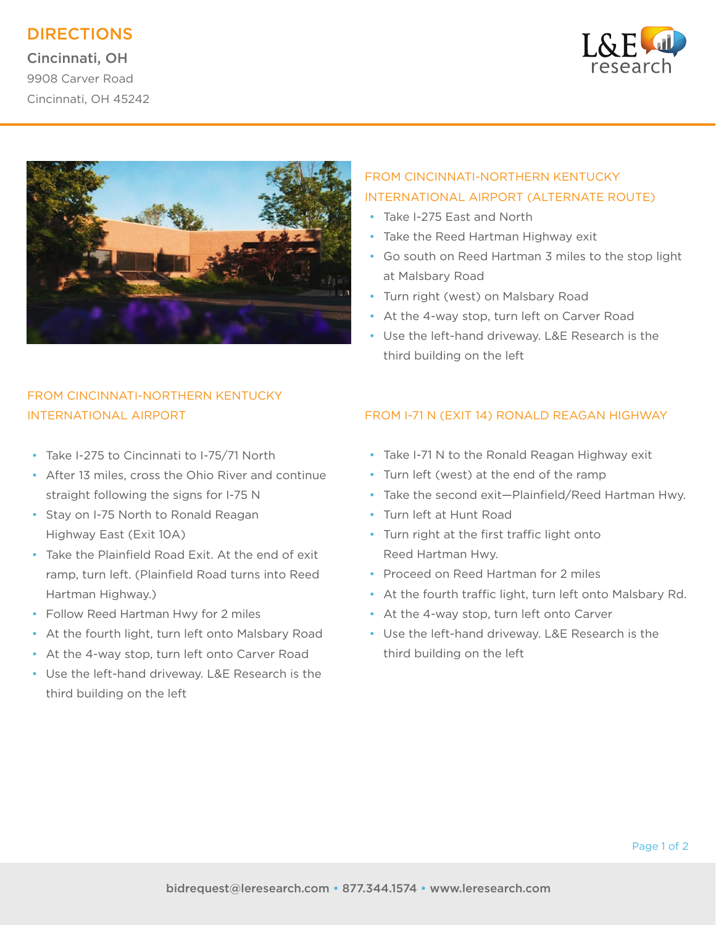# DIRECTIONS

Cincinnati, OH 9908 Carver Road Cincinnati, OH 45242





## FROM CINCINNATI-NORTHERN KENTUCKY INTERNATIONAL AIRPORT (ALTERNATE ROUTE)

- Take I-275 East and North
- Take the Reed Hartman Highway exit
- Go south on Reed Hartman 3 miles to the stop light at Malsbary Road
- Turn right (west) on Malsbary Road
- At the 4-way stop, turn left on Carver Road
- Use the left-hand driveway. L&E Research is the third building on the left

## FROM CINCINNATI-NORTHERN KENTUCKY INTERNATIONAL AIRPORT

- Take I-275 to Cincinnati to I-75/71 North
- After 13 miles, cross the Ohio River and continue straight following the signs for I-75 N
- Stay on I-75 North to Ronald Reagan Highway East (Exit 10A)
- Take the Plainfield Road Exit. At the end of exit ramp, turn left. (Plainfield Road turns into Reed Hartman Highway.)
- Follow Reed Hartman Hwy for 2 miles
- At the fourth light, turn left onto Malsbary Road
- At the 4-way stop, turn left onto Carver Road
- Use the left-hand driveway. L&E Research is the third building on the left

### FROM I-71 N (EXIT 14) RONALD REAGAN HIGHWAY

- Take I-71 N to the Ronald Reagan Highway exit
- Turn left (west) at the end of the ramp
- Take the second exit—Plainfield/Reed Hartman Hwy.
- Turn left at Hunt Road
- Turn right at the first traffic light onto Reed Hartman Hwy.
- Proceed on Reed Hartman for 2 miles
- At the fourth traffic light, turn left onto Malsbary Rd.
- At the 4-way stop, turn left onto Carver
- Use the left-hand driveway. L&E Research is the third building on the left